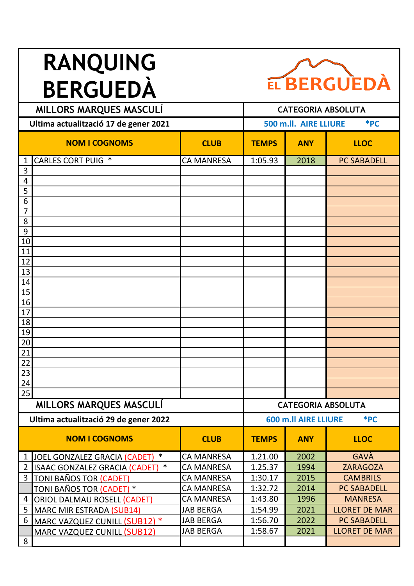## **RANQUING BERGUEDÀ**



| MILLORS MARQUES MASCULI |                                         |                   | <b>CATEGORIA ABSOLUTA</b>      |                             |                      |
|-------------------------|-----------------------------------------|-------------------|--------------------------------|-----------------------------|----------------------|
|                         | Ultima actualització 17 de gener 2021   |                   | $*PC$<br>500 m.ll. AIRE LLIURE |                             |                      |
|                         | <b>NOM I COGNOMS</b>                    | <b>CLUB</b>       | <b>TEMPS</b>                   | <b>ANY</b>                  | <b>LLOC</b>          |
| 1                       | <b>CARLES CORT PUIG *</b>               | <b>CA MANRESA</b> | 1:05.93                        | 2018                        | <b>PC SABADELL</b>   |
| 3                       |                                         |                   |                                |                             |                      |
| 4                       |                                         |                   |                                |                             |                      |
| 5                       |                                         |                   |                                |                             |                      |
| 6                       |                                         |                   |                                |                             |                      |
| 7<br>8                  |                                         |                   |                                |                             |                      |
| 9                       |                                         |                   |                                |                             |                      |
| 10                      |                                         |                   |                                |                             |                      |
| 11                      |                                         |                   |                                |                             |                      |
| 12                      |                                         |                   |                                |                             |                      |
| 13                      |                                         |                   |                                |                             |                      |
| 14                      |                                         |                   |                                |                             |                      |
| 15                      |                                         |                   |                                |                             |                      |
| 16                      |                                         |                   |                                |                             |                      |
| 17                      |                                         |                   |                                |                             |                      |
| 18                      |                                         |                   |                                |                             |                      |
| 19                      |                                         |                   |                                |                             |                      |
| $20\,$                  |                                         |                   |                                |                             |                      |
| 21                      |                                         |                   |                                |                             |                      |
| <u>22</u>               |                                         |                   |                                |                             |                      |
| 23<br>24                |                                         |                   |                                |                             |                      |
| 25                      |                                         |                   |                                |                             |                      |
|                         | <b>MILLORS MARQUES MASCULÍ</b>          |                   |                                | <b>CATEGORIA ABSOLUTA</b>   |                      |
|                         | Ultima actualització 29 de gener 2022   |                   |                                | <b>600 m.ll AIRE LLIURE</b> | *PC                  |
|                         | <b>NOM I COGNOMS</b>                    | <b>CLUB</b>       | <b>TEMPS</b>                   | <b>ANY</b>                  | <b>LLOC</b>          |
| $\mathbf{1}$            | $\ast$<br>JOEL GONZALEZ GRACIA (CADET)  | <b>CA MANRESA</b> | 1.21.00                        | 2002                        | GAVÀ                 |
| $\overline{2}$          | $\ast$<br>ISAAC GONZALEZ GRACIA (CADET) | <b>CA MANRESA</b> | 1.25.37                        | 1994                        | <b>ZARAGOZA</b>      |
| 3                       | TONI BAÑOS TOR (CADET)                  | <b>CA MANRESA</b> | 1:30.17                        | 2015                        | <b>CAMBRILS</b>      |
|                         | <u>TONI BAÑOS TOR (CADET)</u> *         | <b>CA MANRESA</b> | 1:32.72                        | 2014                        | <b>PC SABADELL</b>   |
| 4                       | <b>ORIOL DALMAU ROSELL (CADET)</b>      | <b>CA MANRESA</b> | 1:43.80                        | 1996                        | <b>MANRESA</b>       |
| 5                       | MARC MIR ESTRADA (SUB14)                | <b>JAB BERGA</b>  | 1:54.99                        | 2021                        | <b>LLORET DE MAR</b> |
| 6                       | MARC VAZQUEZ CUNILL (SUB12) *           | <b>JAB BERGA</b>  | 1:56.70                        | 2022                        | <b>PC SABADELL</b>   |
|                         | <b>MARC VAZQUEZ CUNILL (SUB12)</b>      | <b>JAB BERGA</b>  | 1:58.67                        | 2021                        | <b>LLORET DE MAR</b> |
| 8                       |                                         |                   |                                |                             |                      |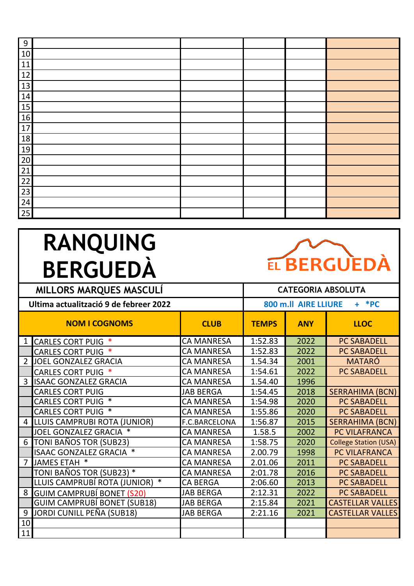| 9  |  |  |  |
|----|--|--|--|
| 10 |  |  |  |
| 11 |  |  |  |
| 12 |  |  |  |
| 13 |  |  |  |
| 14 |  |  |  |
| 15 |  |  |  |
| 16 |  |  |  |
| 17 |  |  |  |
| 18 |  |  |  |
| 19 |  |  |  |
| 20 |  |  |  |
| 21 |  |  |  |
| 22 |  |  |  |
| 23 |  |  |  |
| 24 |  |  |  |
| 25 |  |  |  |

## **RANQUING BERGUEDÀ MILLORS MARQUES MASCULÍ CATEGORIA ABSOLUTA**



| Ultima actualització 9 de febreer 2022 |                                    |                   | 800 m.ll AIRE LLIURE<br>$+$ *PC |            |                              |
|----------------------------------------|------------------------------------|-------------------|---------------------------------|------------|------------------------------|
|                                        | <b>NOM I COGNOMS</b>               | <b>CLUB</b>       | <b>TEMPS</b>                    | <b>ANY</b> | <b>LLOC</b>                  |
| 1 <sup>1</sup>                         | <b>CARLES CORT PUIG *</b>          | <b>CA MANRESA</b> | 1:52.83                         | 2022       | <b>PC SABADELL</b>           |
|                                        | <b>CARLES CORT PUIG *</b>          | <b>CA MANRESA</b> | 1:52.83                         | 2022       | <b>PC SABADELL</b>           |
| $\overline{2}$                         | JOEL GONZALEZ GRACIA               | <b>CA MANRESA</b> | 1.54.34                         | 2001       | <b>MATARÓ</b>                |
|                                        | <b>CARLES CORT PUIG *</b>          | <b>CA MANRESA</b> | 1:54.61                         | 2022       | <b>PC SABADELL</b>           |
| 3                                      | <b>ISAAC GONZALEZ GRACIA</b>       | <b>CA MANRESA</b> | 1.54.40                         | 1996       |                              |
|                                        | <b>CARLES CORT PUIG</b>            | <b>JAB BERGA</b>  | 1:54.45                         | 2018       | <b>SERRAHIMA (BCN)</b>       |
|                                        | <b>CARLES CORT PUIG *</b>          | <b>CA MANRESA</b> | 1:54.98                         | 2020       | <b>PC SABADELL</b>           |
|                                        | <b>CARLES CORT PUIG *</b>          | <b>CA MANRESA</b> | 1:55.86                         | 2020       | <b>PC SABADELL</b>           |
| 4                                      | LLUIS CAMPRUBI ROTA (JUNIOR)       | F.C.BARCELONA     | 1:56.87                         | 2015       | <b>SERRAHIMA (BCN)</b>       |
|                                        | JOEL GONZALEZ GRACIA *             | <b>CA MANRESA</b> | 1.58.5                          | 2002       | PC VILAFRANCA                |
| 6                                      | TONI BAÑOS TOR (SUB23)             | <b>CA MANRESA</b> | 1:58.75                         | 2020       | <b>College Station (USA)</b> |
|                                        | ISAAC GONZALEZ GRACIA *            | <b>CA MANRESA</b> | 2.00.79                         | 1998       | PC VILAFRANCA                |
| 7                                      | JAMES ETAH *                       | <b>CA MANRESA</b> | 2.01.06                         | 2011       | <b>PC SABADELL</b>           |
|                                        | TONI BAÑOS TOR (SUB23) *           | <b>CA MANRESA</b> | 2:01.78                         | 2016       | <b>PC SABADELL</b>           |
|                                        | LLUIS CAMPRUBÍ ROTA (JUNIOR) *     | <b>CA BERGA</b>   | 2:06.60                         | 2013       | <b>PC SABADELL</b>           |
| 8                                      | <b>GUIM CAMPRUBÍ BONET (S20)</b>   | <b>JAB BERGA</b>  | 2:12.31                         | 2022       | <b>PC SABADELL</b>           |
|                                        | <b>GUIM CAMPRUBÍ BONET (SUB18)</b> | <b>JAB BERGA</b>  | 2:15.84                         | 2021       | <b>CASTELLAR VALLES</b>      |
| 9                                      | JORDI CUNILL PEÑA (SUB18)          | <b>JAB BERGA</b>  | 2:21.16                         | 2021       | <b>CASTELLAR VALLES</b>      |
| 10                                     |                                    |                   |                                 |            |                              |
| 11                                     |                                    |                   |                                 |            |                              |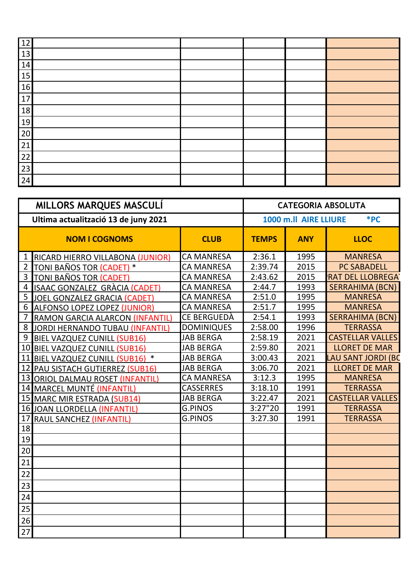| $\overline{12}$ |  |  |  |
|-----------------|--|--|--|
| 13              |  |  |  |
| 14              |  |  |  |
| 15              |  |  |  |
| 16              |  |  |  |
| 17              |  |  |  |
| 18              |  |  |  |
| 19              |  |  |  |
| 20              |  |  |  |
| $\overline{21}$ |  |  |  |
| 22              |  |  |  |
| $\overline{23}$ |  |  |  |
| 24              |  |  |  |

| MILLORS MARQUES MASCULÍ |                                      |                    |                              | <b>CATEGORIA ABSOLUTA</b> |                         |  |  |
|-------------------------|--------------------------------------|--------------------|------------------------------|---------------------------|-------------------------|--|--|
|                         | Ultima actualització 13 de juny 2021 |                    | *PC<br>1000 m.ll AIRE LLIURE |                           |                         |  |  |
|                         | <b>NOM I COGNOMS</b>                 | <b>CLUB</b>        | <b>TEMPS</b>                 | <b>ANY</b>                | <b>LLOC</b>             |  |  |
| $\mathbf{1}$            | RICARD HIERRO VILLABONA (JUNIOR)     | <b>CA MANRESA</b>  | 2:36.1                       | 1995                      | <b>MANRESA</b>          |  |  |
| $\overline{2}$          | TONI BAÑOS TOR (CADET) *             | <b>CA MANRESA</b>  | 2:39.74                      | 2015                      | <b>PC SABADELL</b>      |  |  |
| 3                       | TONI BAÑOS TOR (CADET)               | <b>CA MANRESA</b>  | 2:43.62                      | 2015                      | <b>RAT DEL LLOBREGA</b> |  |  |
| $\overline{4}$          | ISAAC GONZALEZ GRÀCIA (CADET)        | <b>CA MANRESA</b>  | 2:44.7                       | 1993                      | <b>SERRAHIMA (BCN)</b>  |  |  |
| 5                       | <b>JOEL GONZALEZ GRACIA (CADET)</b>  | <b>CA MANRESA</b>  | 2:51.0                       | 1995                      | <b>MANRESA</b>          |  |  |
| 6                       | <b>ALFONSO LOPEZ LOPEZ (JUNIOR)</b>  | <b>CA MANRESA</b>  | 2:51.7                       | 1995                      | <b>MANRESA</b>          |  |  |
| 7                       | RAMON GARCIA ALARCON (INFANTIL)      | <b>CE BERGUEDA</b> | 2:54.1                       | 1993                      | <b>SERRAHIMA (BCN)</b>  |  |  |
| 8                       | JORDI HERNANDO TUBAU (INFANTIL)      | <b>DOMINIQUES</b>  | 2:58.00                      | 1996                      | <b>TERRASSA</b>         |  |  |
| 9                       | <b>BIEL VAZQUEZ CUNILL (SUB16)</b>   | <b>JAB BERGA</b>   | 2:58.19                      | 2021                      | <b>CASTELLAR VALLES</b> |  |  |
| 10                      | <b>BIEL VAZQUEZ CUNILL (SUB16)</b>   | <b>JAB BERGA</b>   | 2:59.80                      | 2021                      | <b>LLORET DE MAR</b>    |  |  |
| 11                      | BIEL VAZQUEZ CUNILL (SUB16) *        | <b>JAB BERGA</b>   | 3:00.43                      | 2021                      | LAU SANT JORDI (BC      |  |  |
|                         | 12 PAU SISTACH GUTIERREZ (SUB16)     | <b>JAB BERGA</b>   | 3:06.70                      | 2021                      | <b>LLORET DE MAR</b>    |  |  |
|                         | 13 ORIOL DALMAU ROSET (INFANTIL)     | <b>CA MANRESA</b>  | 3:12.3                       | 1995                      | <b>MANRESA</b>          |  |  |
|                         | 14 MARCEL MUNTÉ (INFANTIL)           | <b>CASSERRES</b>   | 3:18.10                      | 1991                      | <b>TERRASSA</b>         |  |  |
|                         | 15 MARC MIR ESTRADA (SUB14)          | <b>JAB BERGA</b>   | 3:22.47                      | 2021                      | <b>CASTELLAR VALLES</b> |  |  |
|                         | 16 JOAN LLORDELLA (INFANTIL)         | <b>G.PINOS</b>     | 3:27"20                      | 1991                      | <b>TERRASSA</b>         |  |  |
| 17                      | RAUL SANCHEZ (INFANTIL)              | <b>G.PINOS</b>     | 3:27.30                      | 1991                      | <b>TERRASSA</b>         |  |  |
| 18                      |                                      |                    |                              |                           |                         |  |  |
| 19                      |                                      |                    |                              |                           |                         |  |  |
| 20                      |                                      |                    |                              |                           |                         |  |  |
| 21                      |                                      |                    |                              |                           |                         |  |  |
| 22                      |                                      |                    |                              |                           |                         |  |  |
| 23                      |                                      |                    |                              |                           |                         |  |  |
| 24                      |                                      |                    |                              |                           |                         |  |  |
| 25                      |                                      |                    |                              |                           |                         |  |  |
| 26                      |                                      |                    |                              |                           |                         |  |  |
| 27                      |                                      |                    |                              |                           |                         |  |  |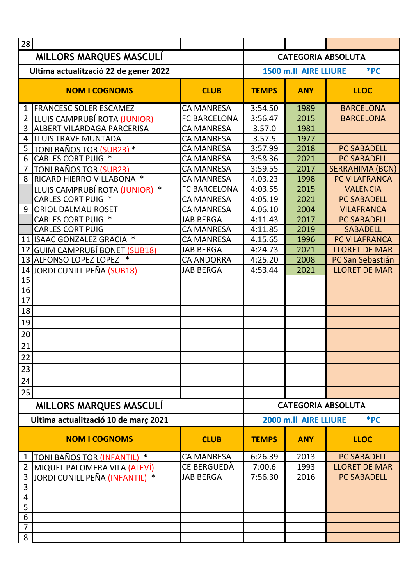| MILLORS MARQUES MASCULI<br><b>CATEGORIA ABSOLUTA</b><br>*PC<br>Ultima actualització 22 de gener 2022<br>1500 m.ll AIRE LLIURE<br><b>NOM I COGNOMS</b><br><b>CLUB</b><br><b>TEMPS</b><br><b>ANY</b><br><b>LLOC</b><br>1 FRANCESC SOLER ESCAMEZ<br><b>BARCELONA</b><br><b>CA MANRESA</b><br>3:54.50<br>1989<br><b>FC BARCELONA</b><br>3:56.47<br>2015<br><b>BARCELONA</b><br>$\overline{2}$<br>LLUIS CAMPRUBÍ ROTA (JUNIOR)<br>3<br><b>ALBERT VILARDAGA PARCERISA</b><br>3.57.0<br><b>CA MANRESA</b><br>1981<br><b>LLUIS TRAVE MUNTADA</b><br>3.57.5<br><b>CA MANRESA</b><br>1977<br>4<br>3:57.99<br>5<br>TONI BAÑOS TOR (SUB23) *<br><b>CA MANRESA</b><br>2018<br><b>PC SABADELL</b><br><b>CARLES CORT PUIG *</b><br>6<br>2021<br><b>CA MANRESA</b><br>3:58.36<br><b>PC SABADELL</b><br>3:59.55<br>2017<br><b>SERRAHIMA (BCN)</b><br><b>CA MANRESA</b><br>TONI BAÑOS TOR (SUB23)<br>8 RICARD HIERRO VILLABONA *<br><b>CA MANRESA</b><br>4.03.23<br>PC VILAFRANCA<br>1998<br>4:03.55<br><b>FC BARCELONA</b><br>2015<br><b>VALENCIA</b><br>LLUIS CAMPRUBÍ ROTA (JUNIOR)<br>$\ast$<br><b>CARLES CORT PUIG *</b><br>4:05.19<br>2021<br><b>CA MANRESA</b><br><b>PC SABADELL</b><br>9 ORIOL DALMAU ROSET<br><b>CA MANRESA</b><br>4.06.10<br>2004<br><b>VILAFRANCA</b><br><b>CARLES CORT PUIG *</b><br>4:11.43<br><b>JAB BERGA</b><br>2017<br><b>PC SABADELL</b><br><b>CARLES CORT PUIG</b><br><b>CA MANRESA</b><br>4:11.85<br>2019<br><b>SABADELL</b><br>11 ISAAC GONZALEZ GRACIA *<br>4.15.65<br>PC VILAFRANCA<br><b>CA MANRESA</b><br>1996<br>12 GUIM CAMPRUBÍ BONET (SUB18)<br><b>JAB BERGA</b><br>4:24.73<br>2021<br><b>LLORET DE MAR</b><br>13 ALFONSO LOPEZ LOPEZ *<br>4:25.20<br><b>CA ANDORRA</b><br>2008<br>PC San Sebastián<br><b>JAB BERGA</b><br>4:53.44<br>2021<br><b>LLORET DE MAR</b><br>14<br>JORDI CUNILL PEÑA (SUB18)<br>15<br>16<br>17<br>18<br>19<br>20<br>21<br>22<br>23<br>24<br>25<br>MILLORS MARQUES MASCULI<br><b>CATEGORIA ABSOLUTA</b><br>Ultima actualització 10 de març 2021<br>*PC<br>2000 m.ll AIRE LLIURE<br><b>NOM I COGNOMS</b><br><b>CLUB</b><br><b>TEMPS</b><br><b>LLOC</b><br><b>ANY</b><br><b>CA MANRESA</b><br>6:26.39<br>2013<br><b>PC SABADELL</b><br>$\ast$<br>TONI BAÑOS TOR (INFANTIL)<br>1<br><b>CE BERGUEDÀ</b><br>7:00.6<br>$\overline{2}$<br>1993<br><b>LLORET DE MAR</b><br>MIQUEL PALOMERA VILA (ALEVÍ)<br>3<br><b>JAB BERGA</b><br>7:56.30<br>2016<br><u> JORDI CUNILL PEÑA (INFANTIL) *</u><br><b>PC SABADELL</b><br>3<br>4<br>5<br>6<br>7 | 28 |  |  |  |
|-----------------------------------------------------------------------------------------------------------------------------------------------------------------------------------------------------------------------------------------------------------------------------------------------------------------------------------------------------------------------------------------------------------------------------------------------------------------------------------------------------------------------------------------------------------------------------------------------------------------------------------------------------------------------------------------------------------------------------------------------------------------------------------------------------------------------------------------------------------------------------------------------------------------------------------------------------------------------------------------------------------------------------------------------------------------------------------------------------------------------------------------------------------------------------------------------------------------------------------------------------------------------------------------------------------------------------------------------------------------------------------------------------------------------------------------------------------------------------------------------------------------------------------------------------------------------------------------------------------------------------------------------------------------------------------------------------------------------------------------------------------------------------------------------------------------------------------------------------------------------------------------------------------------------------------------------------------------------------------------------------------------------------------------------------------------------------------------------------------------------------------------------------------------------------------------------------------------------------------------------------------------------------------------------------------------------------------------------------------------------------------------------------------------------------------------------------------------------------------------|----|--|--|--|
|                                                                                                                                                                                                                                                                                                                                                                                                                                                                                                                                                                                                                                                                                                                                                                                                                                                                                                                                                                                                                                                                                                                                                                                                                                                                                                                                                                                                                                                                                                                                                                                                                                                                                                                                                                                                                                                                                                                                                                                                                                                                                                                                                                                                                                                                                                                                                                                                                                                                                         |    |  |  |  |
|                                                                                                                                                                                                                                                                                                                                                                                                                                                                                                                                                                                                                                                                                                                                                                                                                                                                                                                                                                                                                                                                                                                                                                                                                                                                                                                                                                                                                                                                                                                                                                                                                                                                                                                                                                                                                                                                                                                                                                                                                                                                                                                                                                                                                                                                                                                                                                                                                                                                                         |    |  |  |  |
|                                                                                                                                                                                                                                                                                                                                                                                                                                                                                                                                                                                                                                                                                                                                                                                                                                                                                                                                                                                                                                                                                                                                                                                                                                                                                                                                                                                                                                                                                                                                                                                                                                                                                                                                                                                                                                                                                                                                                                                                                                                                                                                                                                                                                                                                                                                                                                                                                                                                                         |    |  |  |  |
|                                                                                                                                                                                                                                                                                                                                                                                                                                                                                                                                                                                                                                                                                                                                                                                                                                                                                                                                                                                                                                                                                                                                                                                                                                                                                                                                                                                                                                                                                                                                                                                                                                                                                                                                                                                                                                                                                                                                                                                                                                                                                                                                                                                                                                                                                                                                                                                                                                                                                         |    |  |  |  |
|                                                                                                                                                                                                                                                                                                                                                                                                                                                                                                                                                                                                                                                                                                                                                                                                                                                                                                                                                                                                                                                                                                                                                                                                                                                                                                                                                                                                                                                                                                                                                                                                                                                                                                                                                                                                                                                                                                                                                                                                                                                                                                                                                                                                                                                                                                                                                                                                                                                                                         |    |  |  |  |
|                                                                                                                                                                                                                                                                                                                                                                                                                                                                                                                                                                                                                                                                                                                                                                                                                                                                                                                                                                                                                                                                                                                                                                                                                                                                                                                                                                                                                                                                                                                                                                                                                                                                                                                                                                                                                                                                                                                                                                                                                                                                                                                                                                                                                                                                                                                                                                                                                                                                                         |    |  |  |  |
|                                                                                                                                                                                                                                                                                                                                                                                                                                                                                                                                                                                                                                                                                                                                                                                                                                                                                                                                                                                                                                                                                                                                                                                                                                                                                                                                                                                                                                                                                                                                                                                                                                                                                                                                                                                                                                                                                                                                                                                                                                                                                                                                                                                                                                                                                                                                                                                                                                                                                         |    |  |  |  |
|                                                                                                                                                                                                                                                                                                                                                                                                                                                                                                                                                                                                                                                                                                                                                                                                                                                                                                                                                                                                                                                                                                                                                                                                                                                                                                                                                                                                                                                                                                                                                                                                                                                                                                                                                                                                                                                                                                                                                                                                                                                                                                                                                                                                                                                                                                                                                                                                                                                                                         |    |  |  |  |
|                                                                                                                                                                                                                                                                                                                                                                                                                                                                                                                                                                                                                                                                                                                                                                                                                                                                                                                                                                                                                                                                                                                                                                                                                                                                                                                                                                                                                                                                                                                                                                                                                                                                                                                                                                                                                                                                                                                                                                                                                                                                                                                                                                                                                                                                                                                                                                                                                                                                                         |    |  |  |  |
|                                                                                                                                                                                                                                                                                                                                                                                                                                                                                                                                                                                                                                                                                                                                                                                                                                                                                                                                                                                                                                                                                                                                                                                                                                                                                                                                                                                                                                                                                                                                                                                                                                                                                                                                                                                                                                                                                                                                                                                                                                                                                                                                                                                                                                                                                                                                                                                                                                                                                         |    |  |  |  |
|                                                                                                                                                                                                                                                                                                                                                                                                                                                                                                                                                                                                                                                                                                                                                                                                                                                                                                                                                                                                                                                                                                                                                                                                                                                                                                                                                                                                                                                                                                                                                                                                                                                                                                                                                                                                                                                                                                                                                                                                                                                                                                                                                                                                                                                                                                                                                                                                                                                                                         |    |  |  |  |
|                                                                                                                                                                                                                                                                                                                                                                                                                                                                                                                                                                                                                                                                                                                                                                                                                                                                                                                                                                                                                                                                                                                                                                                                                                                                                                                                                                                                                                                                                                                                                                                                                                                                                                                                                                                                                                                                                                                                                                                                                                                                                                                                                                                                                                                                                                                                                                                                                                                                                         |    |  |  |  |
|                                                                                                                                                                                                                                                                                                                                                                                                                                                                                                                                                                                                                                                                                                                                                                                                                                                                                                                                                                                                                                                                                                                                                                                                                                                                                                                                                                                                                                                                                                                                                                                                                                                                                                                                                                                                                                                                                                                                                                                                                                                                                                                                                                                                                                                                                                                                                                                                                                                                                         |    |  |  |  |
|                                                                                                                                                                                                                                                                                                                                                                                                                                                                                                                                                                                                                                                                                                                                                                                                                                                                                                                                                                                                                                                                                                                                                                                                                                                                                                                                                                                                                                                                                                                                                                                                                                                                                                                                                                                                                                                                                                                                                                                                                                                                                                                                                                                                                                                                                                                                                                                                                                                                                         |    |  |  |  |
|                                                                                                                                                                                                                                                                                                                                                                                                                                                                                                                                                                                                                                                                                                                                                                                                                                                                                                                                                                                                                                                                                                                                                                                                                                                                                                                                                                                                                                                                                                                                                                                                                                                                                                                                                                                                                                                                                                                                                                                                                                                                                                                                                                                                                                                                                                                                                                                                                                                                                         |    |  |  |  |
|                                                                                                                                                                                                                                                                                                                                                                                                                                                                                                                                                                                                                                                                                                                                                                                                                                                                                                                                                                                                                                                                                                                                                                                                                                                                                                                                                                                                                                                                                                                                                                                                                                                                                                                                                                                                                                                                                                                                                                                                                                                                                                                                                                                                                                                                                                                                                                                                                                                                                         |    |  |  |  |
|                                                                                                                                                                                                                                                                                                                                                                                                                                                                                                                                                                                                                                                                                                                                                                                                                                                                                                                                                                                                                                                                                                                                                                                                                                                                                                                                                                                                                                                                                                                                                                                                                                                                                                                                                                                                                                                                                                                                                                                                                                                                                                                                                                                                                                                                                                                                                                                                                                                                                         |    |  |  |  |
|                                                                                                                                                                                                                                                                                                                                                                                                                                                                                                                                                                                                                                                                                                                                                                                                                                                                                                                                                                                                                                                                                                                                                                                                                                                                                                                                                                                                                                                                                                                                                                                                                                                                                                                                                                                                                                                                                                                                                                                                                                                                                                                                                                                                                                                                                                                                                                                                                                                                                         |    |  |  |  |
|                                                                                                                                                                                                                                                                                                                                                                                                                                                                                                                                                                                                                                                                                                                                                                                                                                                                                                                                                                                                                                                                                                                                                                                                                                                                                                                                                                                                                                                                                                                                                                                                                                                                                                                                                                                                                                                                                                                                                                                                                                                                                                                                                                                                                                                                                                                                                                                                                                                                                         |    |  |  |  |
|                                                                                                                                                                                                                                                                                                                                                                                                                                                                                                                                                                                                                                                                                                                                                                                                                                                                                                                                                                                                                                                                                                                                                                                                                                                                                                                                                                                                                                                                                                                                                                                                                                                                                                                                                                                                                                                                                                                                                                                                                                                                                                                                                                                                                                                                                                                                                                                                                                                                                         |    |  |  |  |
|                                                                                                                                                                                                                                                                                                                                                                                                                                                                                                                                                                                                                                                                                                                                                                                                                                                                                                                                                                                                                                                                                                                                                                                                                                                                                                                                                                                                                                                                                                                                                                                                                                                                                                                                                                                                                                                                                                                                                                                                                                                                                                                                                                                                                                                                                                                                                                                                                                                                                         |    |  |  |  |
|                                                                                                                                                                                                                                                                                                                                                                                                                                                                                                                                                                                                                                                                                                                                                                                                                                                                                                                                                                                                                                                                                                                                                                                                                                                                                                                                                                                                                                                                                                                                                                                                                                                                                                                                                                                                                                                                                                                                                                                                                                                                                                                                                                                                                                                                                                                                                                                                                                                                                         |    |  |  |  |
|                                                                                                                                                                                                                                                                                                                                                                                                                                                                                                                                                                                                                                                                                                                                                                                                                                                                                                                                                                                                                                                                                                                                                                                                                                                                                                                                                                                                                                                                                                                                                                                                                                                                                                                                                                                                                                                                                                                                                                                                                                                                                                                                                                                                                                                                                                                                                                                                                                                                                         |    |  |  |  |
|                                                                                                                                                                                                                                                                                                                                                                                                                                                                                                                                                                                                                                                                                                                                                                                                                                                                                                                                                                                                                                                                                                                                                                                                                                                                                                                                                                                                                                                                                                                                                                                                                                                                                                                                                                                                                                                                                                                                                                                                                                                                                                                                                                                                                                                                                                                                                                                                                                                                                         |    |  |  |  |
|                                                                                                                                                                                                                                                                                                                                                                                                                                                                                                                                                                                                                                                                                                                                                                                                                                                                                                                                                                                                                                                                                                                                                                                                                                                                                                                                                                                                                                                                                                                                                                                                                                                                                                                                                                                                                                                                                                                                                                                                                                                                                                                                                                                                                                                                                                                                                                                                                                                                                         |    |  |  |  |
|                                                                                                                                                                                                                                                                                                                                                                                                                                                                                                                                                                                                                                                                                                                                                                                                                                                                                                                                                                                                                                                                                                                                                                                                                                                                                                                                                                                                                                                                                                                                                                                                                                                                                                                                                                                                                                                                                                                                                                                                                                                                                                                                                                                                                                                                                                                                                                                                                                                                                         |    |  |  |  |
|                                                                                                                                                                                                                                                                                                                                                                                                                                                                                                                                                                                                                                                                                                                                                                                                                                                                                                                                                                                                                                                                                                                                                                                                                                                                                                                                                                                                                                                                                                                                                                                                                                                                                                                                                                                                                                                                                                                                                                                                                                                                                                                                                                                                                                                                                                                                                                                                                                                                                         |    |  |  |  |
|                                                                                                                                                                                                                                                                                                                                                                                                                                                                                                                                                                                                                                                                                                                                                                                                                                                                                                                                                                                                                                                                                                                                                                                                                                                                                                                                                                                                                                                                                                                                                                                                                                                                                                                                                                                                                                                                                                                                                                                                                                                                                                                                                                                                                                                                                                                                                                                                                                                                                         |    |  |  |  |
|                                                                                                                                                                                                                                                                                                                                                                                                                                                                                                                                                                                                                                                                                                                                                                                                                                                                                                                                                                                                                                                                                                                                                                                                                                                                                                                                                                                                                                                                                                                                                                                                                                                                                                                                                                                                                                                                                                                                                                                                                                                                                                                                                                                                                                                                                                                                                                                                                                                                                         |    |  |  |  |
|                                                                                                                                                                                                                                                                                                                                                                                                                                                                                                                                                                                                                                                                                                                                                                                                                                                                                                                                                                                                                                                                                                                                                                                                                                                                                                                                                                                                                                                                                                                                                                                                                                                                                                                                                                                                                                                                                                                                                                                                                                                                                                                                                                                                                                                                                                                                                                                                                                                                                         |    |  |  |  |
|                                                                                                                                                                                                                                                                                                                                                                                                                                                                                                                                                                                                                                                                                                                                                                                                                                                                                                                                                                                                                                                                                                                                                                                                                                                                                                                                                                                                                                                                                                                                                                                                                                                                                                                                                                                                                                                                                                                                                                                                                                                                                                                                                                                                                                                                                                                                                                                                                                                                                         |    |  |  |  |
|                                                                                                                                                                                                                                                                                                                                                                                                                                                                                                                                                                                                                                                                                                                                                                                                                                                                                                                                                                                                                                                                                                                                                                                                                                                                                                                                                                                                                                                                                                                                                                                                                                                                                                                                                                                                                                                                                                                                                                                                                                                                                                                                                                                                                                                                                                                                                                                                                                                                                         |    |  |  |  |
|                                                                                                                                                                                                                                                                                                                                                                                                                                                                                                                                                                                                                                                                                                                                                                                                                                                                                                                                                                                                                                                                                                                                                                                                                                                                                                                                                                                                                                                                                                                                                                                                                                                                                                                                                                                                                                                                                                                                                                                                                                                                                                                                                                                                                                                                                                                                                                                                                                                                                         |    |  |  |  |
|                                                                                                                                                                                                                                                                                                                                                                                                                                                                                                                                                                                                                                                                                                                                                                                                                                                                                                                                                                                                                                                                                                                                                                                                                                                                                                                                                                                                                                                                                                                                                                                                                                                                                                                                                                                                                                                                                                                                                                                                                                                                                                                                                                                                                                                                                                                                                                                                                                                                                         |    |  |  |  |
|                                                                                                                                                                                                                                                                                                                                                                                                                                                                                                                                                                                                                                                                                                                                                                                                                                                                                                                                                                                                                                                                                                                                                                                                                                                                                                                                                                                                                                                                                                                                                                                                                                                                                                                                                                                                                                                                                                                                                                                                                                                                                                                                                                                                                                                                                                                                                                                                                                                                                         |    |  |  |  |
|                                                                                                                                                                                                                                                                                                                                                                                                                                                                                                                                                                                                                                                                                                                                                                                                                                                                                                                                                                                                                                                                                                                                                                                                                                                                                                                                                                                                                                                                                                                                                                                                                                                                                                                                                                                                                                                                                                                                                                                                                                                                                                                                                                                                                                                                                                                                                                                                                                                                                         |    |  |  |  |
|                                                                                                                                                                                                                                                                                                                                                                                                                                                                                                                                                                                                                                                                                                                                                                                                                                                                                                                                                                                                                                                                                                                                                                                                                                                                                                                                                                                                                                                                                                                                                                                                                                                                                                                                                                                                                                                                                                                                                                                                                                                                                                                                                                                                                                                                                                                                                                                                                                                                                         |    |  |  |  |
|                                                                                                                                                                                                                                                                                                                                                                                                                                                                                                                                                                                                                                                                                                                                                                                                                                                                                                                                                                                                                                                                                                                                                                                                                                                                                                                                                                                                                                                                                                                                                                                                                                                                                                                                                                                                                                                                                                                                                                                                                                                                                                                                                                                                                                                                                                                                                                                                                                                                                         |    |  |  |  |
|                                                                                                                                                                                                                                                                                                                                                                                                                                                                                                                                                                                                                                                                                                                                                                                                                                                                                                                                                                                                                                                                                                                                                                                                                                                                                                                                                                                                                                                                                                                                                                                                                                                                                                                                                                                                                                                                                                                                                                                                                                                                                                                                                                                                                                                                                                                                                                                                                                                                                         |    |  |  |  |
|                                                                                                                                                                                                                                                                                                                                                                                                                                                                                                                                                                                                                                                                                                                                                                                                                                                                                                                                                                                                                                                                                                                                                                                                                                                                                                                                                                                                                                                                                                                                                                                                                                                                                                                                                                                                                                                                                                                                                                                                                                                                                                                                                                                                                                                                                                                                                                                                                                                                                         |    |  |  |  |
|                                                                                                                                                                                                                                                                                                                                                                                                                                                                                                                                                                                                                                                                                                                                                                                                                                                                                                                                                                                                                                                                                                                                                                                                                                                                                                                                                                                                                                                                                                                                                                                                                                                                                                                                                                                                                                                                                                                                                                                                                                                                                                                                                                                                                                                                                                                                                                                                                                                                                         |    |  |  |  |
|                                                                                                                                                                                                                                                                                                                                                                                                                                                                                                                                                                                                                                                                                                                                                                                                                                                                                                                                                                                                                                                                                                                                                                                                                                                                                                                                                                                                                                                                                                                                                                                                                                                                                                                                                                                                                                                                                                                                                                                                                                                                                                                                                                                                                                                                                                                                                                                                                                                                                         |    |  |  |  |
|                                                                                                                                                                                                                                                                                                                                                                                                                                                                                                                                                                                                                                                                                                                                                                                                                                                                                                                                                                                                                                                                                                                                                                                                                                                                                                                                                                                                                                                                                                                                                                                                                                                                                                                                                                                                                                                                                                                                                                                                                                                                                                                                                                                                                                                                                                                                                                                                                                                                                         |    |  |  |  |
| 8                                                                                                                                                                                                                                                                                                                                                                                                                                                                                                                                                                                                                                                                                                                                                                                                                                                                                                                                                                                                                                                                                                                                                                                                                                                                                                                                                                                                                                                                                                                                                                                                                                                                                                                                                                                                                                                                                                                                                                                                                                                                                                                                                                                                                                                                                                                                                                                                                                                                                       |    |  |  |  |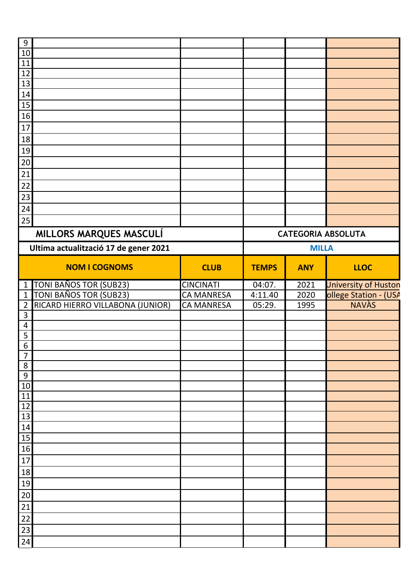| 9              |                                       |                   |              |              |                           |
|----------------|---------------------------------------|-------------------|--------------|--------------|---------------------------|
| $10$           |                                       |                   |              |              |                           |
| <u>11</u>      |                                       |                   |              |              |                           |
| 12             |                                       |                   |              |              |                           |
| 13             |                                       |                   |              |              |                           |
| 14             |                                       |                   |              |              |                           |
| 15             |                                       |                   |              |              |                           |
| 16             |                                       |                   |              |              |                           |
| $17\,$         |                                       |                   |              |              |                           |
| 18             |                                       |                   |              |              |                           |
| 19             |                                       |                   |              |              |                           |
| $20\,$         |                                       |                   |              |              |                           |
| 21             |                                       |                   |              |              |                           |
| 22             |                                       |                   |              |              |                           |
| 23             |                                       |                   |              |              |                           |
| 24             |                                       |                   |              |              |                           |
| 25             |                                       |                   |              |              |                           |
|                |                                       |                   |              |              |                           |
|                | MILLORS MARQUES MASCULÍ               |                   |              |              | <b>CATEGORIA ABSOLUTA</b> |
|                | Ultima actualització 17 de gener 2021 |                   |              | <b>MILLA</b> |                           |
|                |                                       |                   |              |              |                           |
|                | <b>NOM I COGNOMS</b>                  | <b>CLUB</b>       | <b>TEMPS</b> | <b>ANY</b>   | <b>LLOC</b>               |
| $\mathbf{1}$   | TONI BAÑOS TOR (SUB23)                | <b>CINCINATI</b>  | 04:07.       | 2021         | University of Huston      |
| $\mathbf{1}$   | TONI BAÑOS TOR (SUB23)                | <b>CA MANRESA</b> | 4:11.40      | 2020         | ollege Station - (USA     |
| $\overline{2}$ | RICARD HIERRO VILLABONA (JUNIOR)      | <b>CA MANRESA</b> | 05:29.       | 1995         | <b>NAVÀS</b>              |
| $\overline{3}$ |                                       |                   |              |              |                           |
| $\overline{4}$ |                                       |                   |              |              |                           |
| 5              |                                       |                   |              |              |                           |
| $\overline{6}$ |                                       |                   |              |              |                           |
| $\overline{7}$ |                                       |                   |              |              |                           |
| 8              |                                       |                   |              |              |                           |
| 9              |                                       |                   |              |              |                           |
| 10             |                                       |                   |              |              |                           |
| 11             |                                       |                   |              |              |                           |
| 12             |                                       |                   |              |              |                           |
| 13             |                                       |                   |              |              |                           |
| 14             |                                       |                   |              |              |                           |
| 15             |                                       |                   |              |              |                           |
| 16             |                                       |                   |              |              |                           |
| $17\,$         |                                       |                   |              |              |                           |
| 18             |                                       |                   |              |              |                           |
| 19             |                                       |                   |              |              |                           |
| $20\,$         |                                       |                   |              |              |                           |
| 21             |                                       |                   |              |              |                           |
|                |                                       |                   |              |              |                           |
|                |                                       |                   |              |              |                           |
| 22             |                                       |                   |              |              |                           |
| 23<br>24       |                                       |                   |              |              |                           |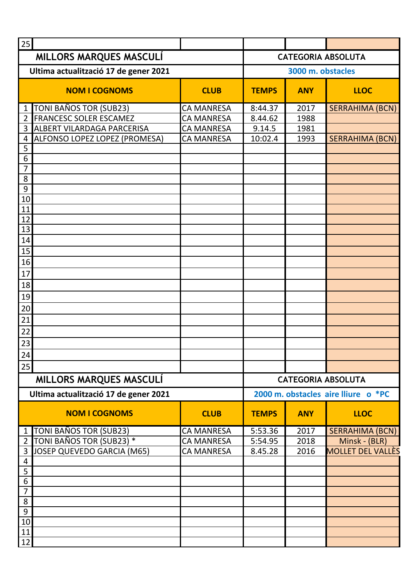| 25                                              |                   |              |                                     |                           |
|-------------------------------------------------|-------------------|--------------|-------------------------------------|---------------------------|
| MILLORS MARQUES MASCULÍ                         |                   |              |                                     | <b>CATEGORIA ABSOLUTA</b> |
| Ultima actualització 17 de gener 2021           |                   |              | 3000 m. obstacles                   |                           |
| <b>NOM I COGNOMS</b>                            | <b>CLUB</b>       | <b>TEMPS</b> | <b>ANY</b>                          | <b>LLOC</b>               |
| <b>TONI BAÑOS TOR (SUB23)</b><br>1              | <b>CA MANRESA</b> | 8:44.37      | 2017                                | <b>SERRAHIMA (BCN)</b>    |
| <b>FRANCESC SOLER ESCAMEZ</b><br>$\overline{2}$ | <b>CA MANRESA</b> | 8.44.62      | 1988                                |                           |
| <b>ALBERT VILARDAGA PARCERISA</b><br>3          | <b>CA MANRESA</b> | 9.14.5       | 1981                                |                           |
| ALFONSO LOPEZ LOPEZ (PROMESA)<br>4              | <b>CA MANRESA</b> | 10:02.4      | 1993                                | <b>SERRAHIMA (BCN)</b>    |
| 5                                               |                   |              |                                     |                           |
| 6<br>$\overline{7}$                             |                   |              |                                     |                           |
| 8                                               |                   |              |                                     |                           |
| 9                                               |                   |              |                                     |                           |
| 10                                              |                   |              |                                     |                           |
| 11                                              |                   |              |                                     |                           |
| 12                                              |                   |              |                                     |                           |
| 13                                              |                   |              |                                     |                           |
| 14                                              |                   |              |                                     |                           |
| 15                                              |                   |              |                                     |                           |
| 16                                              |                   |              |                                     |                           |
| 17                                              |                   |              |                                     |                           |
| 18                                              |                   |              |                                     |                           |
| 19                                              |                   |              |                                     |                           |
| 20                                              |                   |              |                                     |                           |
| 21                                              |                   |              |                                     |                           |
| 22                                              |                   |              |                                     |                           |
| 23                                              |                   |              |                                     |                           |
| 24                                              |                   |              |                                     |                           |
| 25                                              |                   |              |                                     |                           |
| MILLORS MARQUES MASCULI                         |                   |              | <b>CATEGORIA ABSOLUTA</b>           |                           |
| Ultima actualització 17 de gener 2021           |                   |              | 2000 m. obstacles aire lliure o *PC |                           |
| <b>NOM I COGNOMS</b>                            | <b>CLUB</b>       | <b>TEMPS</b> | <b>ANY</b>                          | <b>LLOC</b>               |
| TONI BAÑOS TOR (SUB23)<br>$\mathbf 1$           | <b>CA MANRESA</b> | 5:53.36      | 2017                                | <b>SERRAHIMA (BCN)</b>    |
| TONI BAÑOS TOR (SUB23) *<br>$\overline{2}$      | <b>CA MANRESA</b> | 5:54.95      | 2018                                | Minsk - (BLR)             |
| JOSEP QUEVEDO GARCIA (M65)<br>3                 | <b>CA MANRESA</b> | 8.45.28      | 2016                                | MOLLET DEL VALLÈS         |
| $\overline{4}$                                  |                   |              |                                     |                           |
| 5<br>6                                          |                   |              |                                     |                           |
| 7                                               |                   |              |                                     |                           |
| 8                                               |                   |              |                                     |                           |
| 9                                               |                   |              |                                     |                           |
| 10                                              |                   |              |                                     |                           |
| 11                                              |                   |              |                                     |                           |
| 12                                              |                   |              |                                     |                           |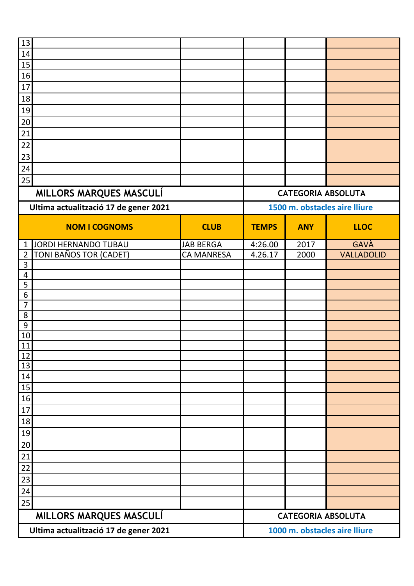| 13                                    |                                       |                   |              |            |                               |
|---------------------------------------|---------------------------------------|-------------------|--------------|------------|-------------------------------|
| 14                                    |                                       |                   |              |            |                               |
| 15                                    |                                       |                   |              |            |                               |
| 16                                    |                                       |                   |              |            |                               |
| 17                                    |                                       |                   |              |            |                               |
| 18                                    |                                       |                   |              |            |                               |
| 19                                    |                                       |                   |              |            |                               |
| 20                                    |                                       |                   |              |            |                               |
| 21                                    |                                       |                   |              |            |                               |
| $22\,$                                |                                       |                   |              |            |                               |
| 23                                    |                                       |                   |              |            |                               |
| 24                                    |                                       |                   |              |            |                               |
| 25                                    |                                       |                   |              |            |                               |
|                                       | MILLORS MARQUES MASCULÍ               |                   |              |            | <b>CATEGORIA ABSOLUTA</b>     |
|                                       | Ultima actualització 17 de gener 2021 |                   |              |            | 1500 m. obstacles aire lliure |
|                                       | <b>NOM I COGNOMS</b>                  | <b>CLUB</b>       | <b>TEMPS</b> | <b>ANY</b> | <b>LLOC</b>                   |
| $\mathbf{1}$                          | <b>JORDI HERNANDO TUBAU</b>           | <b>JAB BERGA</b>  | 4:26.00      | 2017       | <b>GAVÀ</b>                   |
| $\overline{2}$                        | TONI BAÑOS TOR (CADET)                | <b>CA MANRESA</b> | 4.26.17      | 2000       | <b>VALLADOLID</b>             |
| $\overline{3}$                        |                                       |                   |              |            |                               |
| $\overline{4}$                        |                                       |                   |              |            |                               |
| 5                                     |                                       |                   |              |            |                               |
| $6\,$<br>$\overline{7}$               |                                       |                   |              |            |                               |
| 8                                     |                                       |                   |              |            |                               |
| $9\,$                                 |                                       |                   |              |            |                               |
| <u>10</u>                             |                                       |                   |              |            |                               |
| 11                                    |                                       |                   |              |            |                               |
| 12                                    |                                       |                   |              |            |                               |
| <u>13</u>                             |                                       |                   |              |            |                               |
| 14                                    |                                       |                   |              |            |                               |
| 15<br>16                              |                                       |                   |              |            |                               |
| 17                                    |                                       |                   |              |            |                               |
| 18                                    |                                       |                   |              |            |                               |
| 19                                    |                                       |                   |              |            |                               |
| $20\,$                                |                                       |                   |              |            |                               |
| 21                                    |                                       |                   |              |            |                               |
| 22                                    |                                       |                   |              |            |                               |
| 23                                    |                                       |                   |              |            |                               |
| 24                                    |                                       |                   |              |            |                               |
| 25                                    |                                       |                   |              |            |                               |
|                                       | MILLORS MARQUES MASCULÍ               |                   |              |            | <b>CATEGORIA ABSOLUTA</b>     |
|                                       |                                       |                   |              |            | 1000 m. obstacles aire lliure |
| Ultima actualització 17 de gener 2021 |                                       |                   |              |            |                               |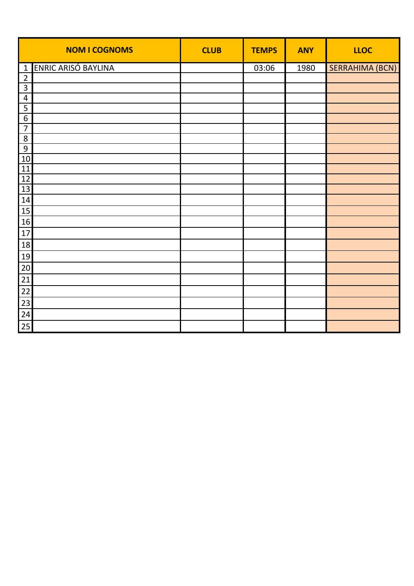|                                    | <b>NOM I COGNOMS</b> | <b>CLUB</b> | <b>TEMPS</b> | <b>ANY</b> | <b>LLOC</b>            |
|------------------------------------|----------------------|-------------|--------------|------------|------------------------|
| $\mathbf{1}$                       | ENRIC ARISÓ BAYLINA  |             | 03:06        | 1980       | <b>SERRAHIMA (BCN)</b> |
| $\overline{2}$                     |                      |             |              |            |                        |
| $\mathbf{3}$                       |                      |             |              |            |                        |
| $\overline{4}$                     |                      |             |              |            |                        |
| $\overline{\mathbf{5}}$            |                      |             |              |            |                        |
| $\boldsymbol{6}$<br>$\overline{7}$ |                      |             |              |            |                        |
| $\,8\,$                            |                      |             |              |            |                        |
| $\overline{9}$                     |                      |             |              |            |                        |
| 10                                 |                      |             |              |            |                        |
| 11                                 |                      |             |              |            |                        |
| $\frac{12}{13}$                    |                      |             |              |            |                        |
|                                    |                      |             |              |            |                        |
| 14                                 |                      |             |              |            |                        |
| 15                                 |                      |             |              |            |                        |
| 16                                 |                      |             |              |            |                        |
| 17                                 |                      |             |              |            |                        |
| 18                                 |                      |             |              |            |                        |
| 19                                 |                      |             |              |            |                        |
| 20                                 |                      |             |              |            |                        |
| 21                                 |                      |             |              |            |                        |
| 22                                 |                      |             |              |            |                        |
| 23                                 |                      |             |              |            |                        |
| 24                                 |                      |             |              |            |                        |
| 25                                 |                      |             |              |            |                        |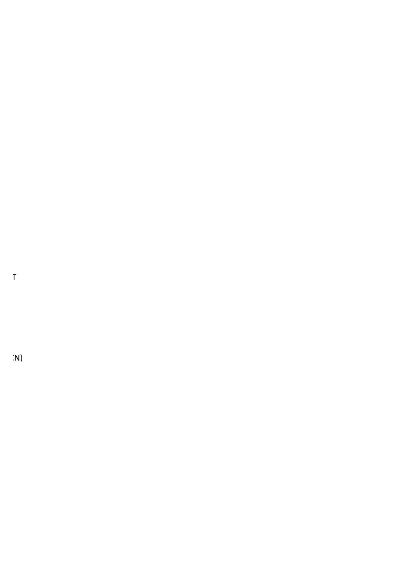PRAT DEL LLOBREGAT

 $\dot{P}$